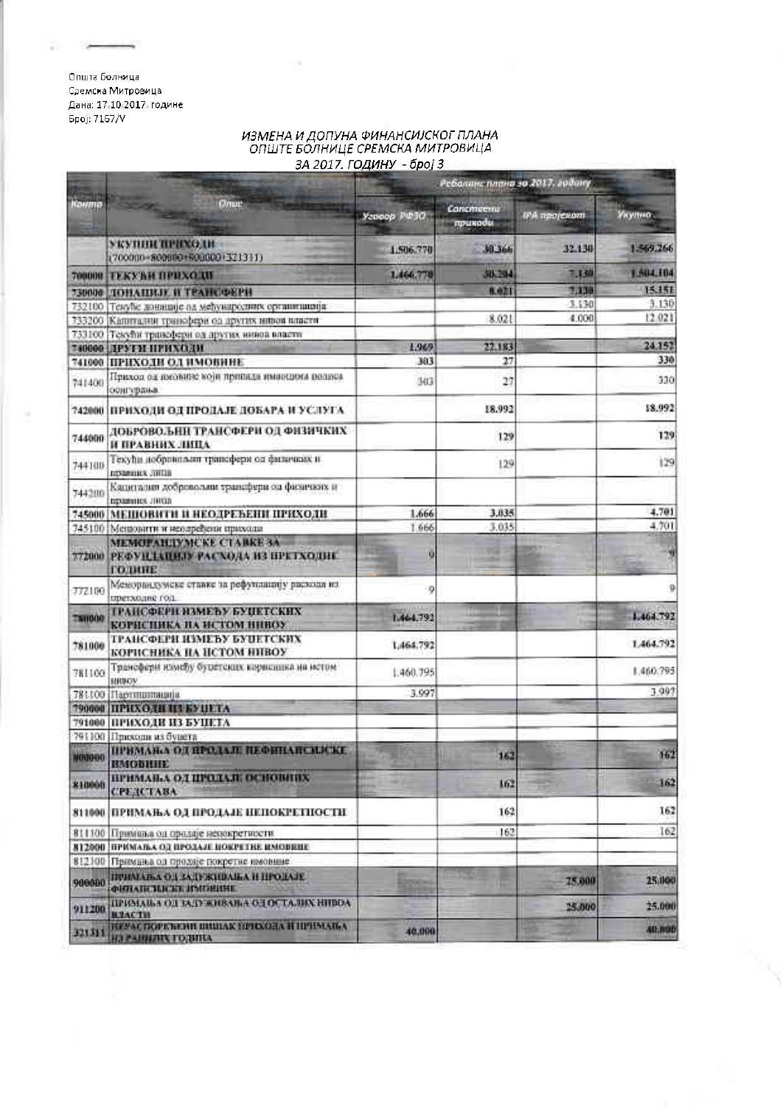Општа болница Сремска Митровица Дана: 17 10 2017 године Број: 7167/V

## ИЗМЕНА И ДОПУНА ФИНАНСИЈСКОГ ПЛАНА<br>ОПШТЕ БОЛНИЦЕ СРЕМСКА МИТРОВИЦА ЗА 2017. ГОДИНУ - број З

|               | Олис                                                                        | Реболянствена за 2017, годину |                       |             |           |  |
|---------------|-----------------------------------------------------------------------------|-------------------------------|-----------------------|-------------|-----------|--|
| <b>Kouma</b>  |                                                                             | Yedoop PO30                   | Concineeiu<br>mnuxadu | та пројекот | Укупно:   |  |
|               | укупни приходи<br>(700000-800000+500000+321311)                             | 1,506,770                     | 38,366                | 32.130      | 1.569.266 |  |
|               | 700000 ТЕКУВИ ПРИХОДИ                                                       | 1,466,770                     | 30.294                | 130         | 1.504,104 |  |
|               | <b>730000 ДОНАЦИЈЕ И ТРАНСФЕРИ</b>                                          |                               | 8,021                 | 7,110       | 15.151    |  |
|               | 732100 Тенубс донације од међународних организација                         |                               |                       | 3.130       | 3.130     |  |
|               | 733200 Капиталин транофери од других инвов власти                           |                               | 8.021                 | 4.000       | 12.021    |  |
| 733100        | Текући трансфери од других нивод власти                                     |                               |                       |             |           |  |
| 760000        | <b>ДРУГИ ПРИХОДИ</b>                                                        | 1.969                         | 22.183                |             | 24.152    |  |
| 741000        | ПРИХОДИ ОД ИМОВИНЕ                                                          | 303                           | 27                    |             | 330       |  |
| 741400        | Приход од дмовине који припада имандина пописа<br>оснгурања                 | 303                           | 27                    |             | 330       |  |
| 742000        | ПРИХОДИ ОД ПРОДАЛЕ ДОБАРА И УСЛУГА                                          |                               | 18.992                |             | 18.992    |  |
| 744000        | ДОБРОВОЉНИ ТРАНСФЕРИ ОД ФИЗИЧКИХ<br>И ПРАВНИХ ЛИПА                          |                               | 129                   |             | 129       |  |
| 744100        | Текући побравалат трапофери од физичких и<br><b>SERIES AMORGING</b>         |                               | 129                   |             | 129       |  |
| 744200        | Кадиталин доброволин трансфери од физичанх и<br><b>DEMONS JUILD</b>         |                               |                       |             |           |  |
|               | 745000 МЕШОВИТИ И НЕОДРЕЂЕНИ ПРИХОДИ                                        | 1,666                         | 3.035                 |             | 4.701     |  |
|               | 745100 Менюзатти и неодређени приходи                                       | 1.666                         | 3.035                 |             | 4.701     |  |
|               | МЕМОРАНДУМСКЕ СТАВКЕ ЗА<br>772000 РЕФУНДАЦИЯ РАСХОДА ИЗ ПРЕТХОДИЕ<br>године | ü                             |                       |             |           |  |
| 772100        | Меморандумске ставке за рефунациију расхода из<br>претходне год.            | 9                             |                       |             | ü         |  |
| <b>TMID00</b> | ТРАНСФЕРИ ИЗМЕЂУ БУПЕТСКИХ<br>КОРЦСНИКА НА ИСТОМ НИВОУ                      | 1.464.792                     |                       |             | 1.464.792 |  |
| 781000        | ТРАНСФЕРИ ИЗМЕЂУ БУЏЕТСКИХ<br>КОРИСНИКА НА ИСТОМ НИВОУ                      | 1.464.792                     |                       |             | 1.464.792 |  |
| 781100        | Трансферн између бутлетских корисника на истом<br><b>HRBOV</b>              | 1.460.795                     |                       |             | 1.460.795 |  |
|               | 781100 Партицапација                                                        | 3.997                         |                       |             | 3.997     |  |
|               | <b>790000 ПРИХОДИ НУБУПЕТА</b>                                              |                               |                       |             |           |  |
| 791000        | ПРИХОДЕ ИЗ БУПЕТА                                                           |                               |                       |             |           |  |
|               | 791300 Прихода из бувета                                                    |                               |                       |             |           |  |
| 300001        | ПРИМАНА ОД ПРОДАЛЕ ПЕФИНАНСКИЕМИСКЕ<br><b>HMOBHIEE</b>                      |                               | 162                   |             | 162       |  |
| 810000        | примања од продаде основних<br><b>СРЕДСТАВА</b>                             |                               | 162                   |             | 162       |  |
|               | 811000 ПРИМАЊА ОД ПРОДАЈЕ НЕПОКРЕТНОСТИ                                     |                               | 162                   |             | 162       |  |
|               | 811100 Примяња од орадаје непокретности                                     |                               | 162                   |             | 162       |  |
|               | 812000 ПРИМАЊА ОД ПРОДАЈЕ ПОКРЕТКЕ ИМОВНИЕ                                  |                               |                       |             |           |  |
|               | 812100 Примања од продаје покретне нмовние                                  |                               |                       |             |           |  |
| 900000        | ПРИМАЊА ОД ЗАДЕЖНОАЊА И ШРОДАЈЕ.<br>ФИНАНСИЛСКЕ ИМЕНИНЕ                     |                               |                       | 25,000      | 25.000    |  |
| 911200        | ПРИМАЊА ОД ЗАДУЖИВАЊА ОД ОСТАЛИХ НИВОА<br><b>BRACTH</b>                     |                               |                       | 25,000      | 25.000    |  |
| 32131         | НЕРАСПОРЕВЕНИ ВИШАК ПРИХОДА И ПРИМАЊА<br><b>HERITA TYSTERSA</b>             | 40.000                        |                       |             | 40.890    |  |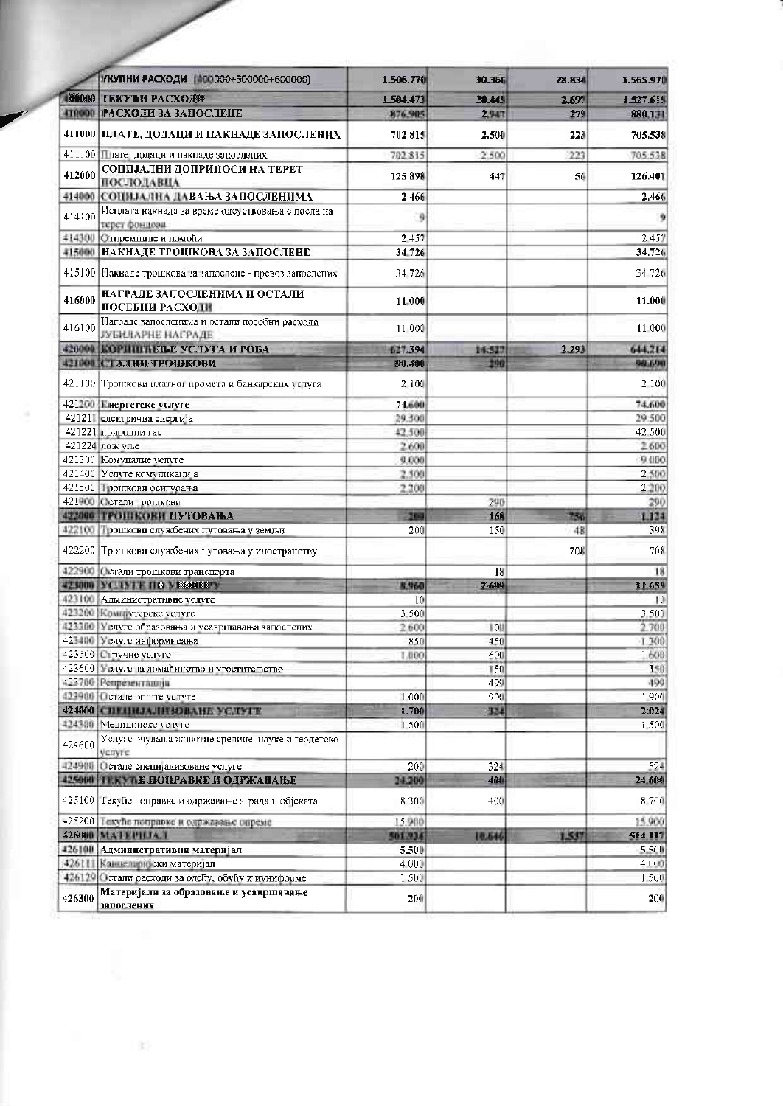|               | <b>УКУПНИ РАСХОДИ (400000+500000+600000)</b>                       | 1.506.770      | 30.366 | 28.834 | 1,565,970      |
|---------------|--------------------------------------------------------------------|----------------|--------|--------|----------------|
| <b>LOODER</b> | <b>ГЕКУЋИ РАСХОДИ</b>                                              | 1.584.473      | 20.445 | 2.697  | 1.527.615      |
|               | <b>410000 РАСХОДИ ЗА ЗАПОСЛЕНЕ</b>                                 | 876,905        | 2,947  | 279    | 880,131        |
|               | 411000 ПЛАТЕ, ДОДАЦИ И ПАКНАДЕ ЗАПОСЛЕНИХ                          | 702.815        | 2.500  | 223    | 705.538        |
| 411100        | Плате додаци и накнаде запослених                                  | 702.815        | 2.500  | 223    | 705:538        |
| 412000        | СОЦИЈАЛНИ ДОПРИНОСИ НА ТЕРЕТ<br>ПОСЛОДАВЦА                         | 125.898        | 441    | 56     | 126.401        |
|               | 414000 СОЦИЈАЛНА ДАВАЊА ЗАПОСЛЕНИМА                                | 2.466          |        |        | 2.466          |
| 414100        | Исплата накнада за време одсуствовања с посла на<br>терст фонцова  | 9              |        |        |                |
| 414300        | Отпремнине и помоћи                                                | 2 4 5 7        |        |        | 2.457          |
|               | 415000 НАКНАДЕ ТРОШКОВА ЗА ЗАПОСЛЕНЕ                               | 34.726         |        |        | 34.726         |
| 415100        | Пакнаде трошкова за запостене - превоз запослених                  | 34726          |        |        | 34 726         |
| 416000        | НАГРАДЕ ЗАПОСЛЕНИМА И ОСТАЛИ<br><b>ПОСЕБНИ РАСХОДИ</b>             | 11.000         |        |        | 11.000         |
| 416100        | Награде запосленима и остали посебни расходи<br>РУБИЛАРНЕ НАГРАДЕ  | 11 000         |        |        | 11 000         |
|               | 420000 КОРПШЋЕЊЕ УСЛУГА И РОБА                                     | 627.394        | 14:527 | 2.293  | 644.214        |
|               | 421000 СТАЛНИ ТРОШКОВИ                                             | 90,400         | 290    |        | 99.690         |
|               | 421100 Тронкови платног промета и банкарских устуга                | 2 100          |        |        | 2 100          |
|               | 421200 Енергетске vervre                                           | 74,600         |        |        | 74,600         |
|               | 421211 електрична енергија                                         | 29.500         |        |        | 29:500         |
|               | 421221 природни гас                                                | 42,500         |        |        | 42.500         |
|               | 421224 лож уље                                                     | 2.600          |        |        | 2.600          |
|               | 421300 Комуналие услуге<br>421400 Услуге комуникација              | 9,000          |        |        | 9,000<br>2,500 |
|               | 421500 Тропткови осигурања                                         | 2.500<br>2,200 |        |        | 2.200          |
|               | 421900 Сетали гропкови                                             |                | 290    |        | 290            |
|               | 422006 ТРОШКОВИ ПУТОВАЊА                                           | 200            | 168    | 156    | 1.124          |
|               | 422100 Трошкови службених путовања у земљи                         | 200            | 150    | 48     | 398            |
|               | 422200 Трошкови службених путовања у иностранству                  |                |        | 708    | 708            |
|               | 422900 Остали трошкови транспорта                                  |                | 18     |        | 18             |
|               | 423000 YC-1YTE 110 \ EGROPY                                        | 5,960          | 2.600  |        | 11.654         |
|               | 423100 Алминистративне услуге                                      | 10             |        |        | 10             |
|               | 423200 Компјутерске услуге                                         | 3.500          |        |        | 3.500          |
|               | 423360 Услуге образовања и усавршавања запослених                  | 2.600          | 10H    |        | 2.700          |
|               | 423400 Услуге информисања                                          | 850            | 450    |        | $-1.300$       |
|               | 423500 Стоучне услуге                                              | 1.000          | 600    |        | 1,600          |
|               | 423600 желуге за домаћинство и угоститељетво                       |                | 150    |        | 150            |
|               | 423700 Репрезентација                                              |                | 499    |        | 490            |
|               | 423900 Octare onarre vervre                                        | 1000           | 9001   |        | 1.900          |
|               | 424000 СПЕЦИЈАЛИЗОВАНЕ УСЛУГЕ<br>424300 Memminicke vervice         | 1.700<br>1.500 | 324    |        | 2:024<br>1,500 |
| 424600        | Услуге очувања животне средине, науке и геодетске<br><b>Venyre</b> |                |        |        |                |
|               | 424900 Сстале специјализоване услуге                               | 200            | 324    |        | 524            |
|               | 425000 TEKY TE HOUPABKE И ОДРЖАВАЊЕ                                | 24.200         | 404    |        | 24,600         |
|               | 425100 Гекуће поправке и одржавање зграда и објеката               | 8300           | 400    |        | 8.700          |
|               | 425200 Текуће поправке и одржавање опреме                          | 15,900         |        |        | 15,900         |
|               | <b>426000 MATEPHIA.1</b>                                           | 501.934        | 10.646 | 1.537  | 514.111        |
|               | 426100 Административни материјал                                   | 5.500          |        |        | 5,500          |
| 426111        | Канневции жи материјал                                             | 4 000          |        |        | 4.000          |
|               | 426129 Остали расходи за одећу, обућу и иуниформе                  | 1500           |        |        | 1.500          |
| 426300        | Материјали за образовање и усавршавање<br>мнослених                | 200            |        |        | 200            |

 $\left| \Sigma \right\rangle$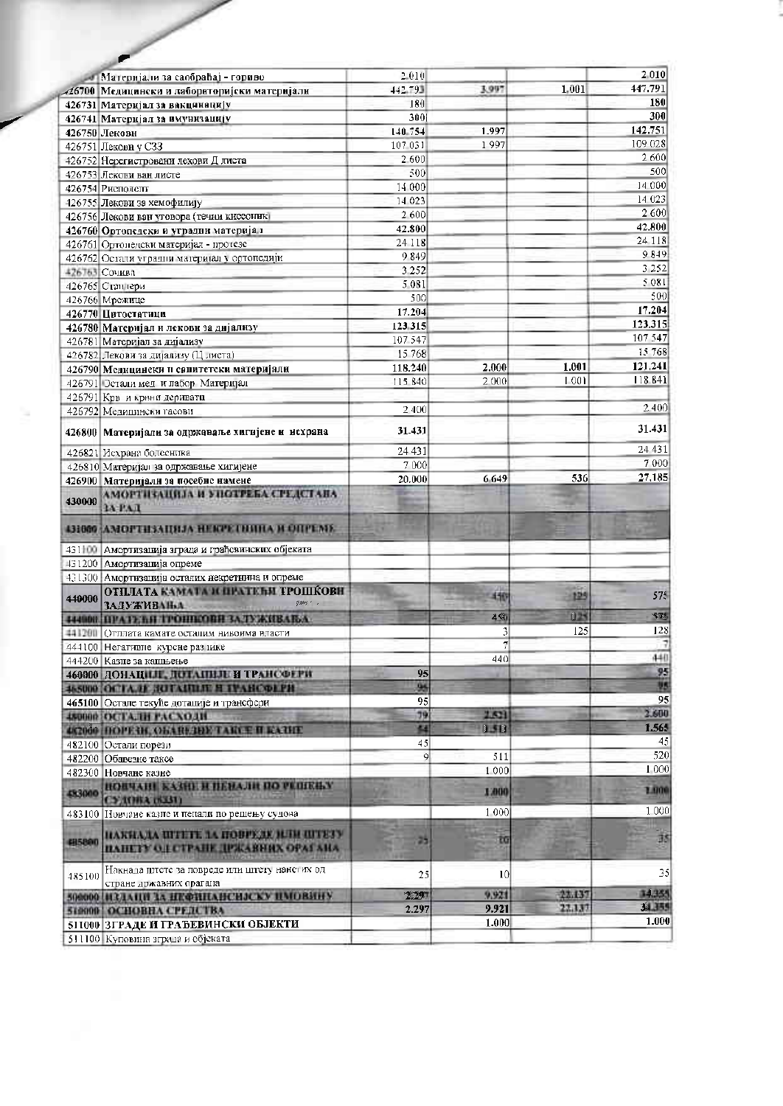|        | и Материја на за саобраћај - гориво                                      | 2.010                |                 |                | 2.010          |
|--------|--------------------------------------------------------------------------|----------------------|-----------------|----------------|----------------|
|        | 126700 Медицински и лабораторијски материјали                            | 442.793              | 3.997           | 1,001          | 447.791        |
|        | 426731 Материјал за вакцинацију                                          | 180                  |                 |                | 180            |
|        | 426741 Материјал за имунизацију                                          | 300                  |                 |                | 300            |
|        | 426750 Лекови                                                            | 140.754              | 1.997           |                | 142.751        |
|        | 426751 Лекови у СЗЗ                                                      | 107 031              | 1997            |                | 109 028        |
|        | 426752 Нерегистровани лекови Д листа                                     | 2.600                |                 |                | 2 600          |
|        | 426753 Лекови ван листе                                                  | 500                  |                 |                | 500            |
|        | 426754 Рисполент                                                         | 14 000               |                 |                | 14.000         |
|        | 426755 Лекови за хемофилију                                              | 14 023               |                 |                | 14 023         |
|        | 426756 Лекови ван уговора (течни киссоник)                               | 2600                 |                 |                | 2600           |
|        | 426760 Ортопедски и уградни материја и                                   | 42.800               |                 |                | 42.800         |
|        | 426761 Ортонедски материјал - протезе                                    | 24 118               |                 |                | 24 118         |
|        | 426762 Остали уградни материјан у ортопедији                             | 9849                 |                 |                | 9849           |
|        | 426763 Сочива                                                            | 3.252                |                 |                | 3 2 5 2        |
|        | 426765 Станчери                                                          | 5 081                |                 |                | 5 081          |
|        | 426766 Мрежице                                                           | 500                  |                 |                | 500            |
|        | 426770 Цитостатици                                                       | 17.204               |                 |                | 17.204         |
|        | 426780 Материјал и лекови за дијализу                                    | 123,315              |                 |                | 123.315        |
|        | 426781 Материјал за дијализу                                             | 107 547              |                 |                | 107 547        |
|        | 426782 Лекови за дијализу (Ц. иста)                                      | 15 768               |                 |                | 15 768         |
|        | 426790 Медицински и сапитетски материјали                                | 118,240              | 2.000           | 1.001          | 121.241        |
|        | 426791 Остали мед и пабор Материјал                                      | 115 840              | 2000            | 1001           | 118 841        |
|        | 426791 Крв и крвни деривати                                              |                      |                 |                |                |
|        | 426792 Медицински гасови                                                 | 2400                 |                 |                | 2 400          |
| 426800 | Материјали за одржавање хигијене и исхрана                               | 31.431               |                 |                | 31.431         |
|        | 426821 Исхрана болесника                                                 | 24 4 31              |                 |                | 24 4 31        |
|        | 426810 Материјал за одржавање хигијене                                   | 7 000                |                 |                | 7000           |
|        | 426900 Материјали за посебне намене                                      | 20.000               | 6.649           | 536            | 27,185         |
| 430000 | АМОРТИЗАЦИЈА И УПОТРЕЋА СРЕДСТАВА<br>14 PAR                              |                      |                 |                |                |
|        | 431000 АМОРТИЗАЦИЈА НЕКРЕТИННА И ОПРЕМЕ                                  |                      |                 |                |                |
|        | 431100 Амортизација зграда и грађевинских објеката                       |                      |                 |                |                |
|        | 431200 Амортизација опреме                                               |                      |                 |                |                |
|        | 431300 Амортизација осталих некретнина и опреме                          |                      |                 |                |                |
| 440000 | ОТПЛАТА КАМАТА И ПРАТКНИ ТРОШКОВИ<br>gang<br><b>ЗАДУЖИВАНА</b>           |                      | 4,101           | 125            | 575            |
|        | 44000 ПРАТЕЛЯ ГРОШКОВН ЗАЛУЖИВАЊА                                        |                      | 4道              | 3 <sup>h</sup> | 5TL            |
| 441200 | Отплата камате осталим нивоима власти                                    |                      | 3               | 125            | 128            |
|        | 444100 Негативне курсне раз нике                                         |                      | Ţ               |                | $\overline{z}$ |
|        | 444200 Казне за кашњење                                                  |                      | 4401            |                | 440            |
|        | 460000 ДОНАЦИИ, ДОТАПИЛЬ И ТРАНСФЕРИ                                     | 95                   |                 |                | 95             |
|        | 465000 ОСТАЛЕ ЛОТАНИЯ Я ГРАНСФЕРИ                                        | 95                   |                 |                | 35             |
|        | 465100 Остале текуће доташије и трансфери                                | 95                   |                 |                | 95<br>2,600    |
|        | 480000 ОСТАЛИ РАСХОДИ                                                    | 79                   | 2.521           |                | 1.565          |
|        | 482000 ПОРЕЗИ, ОБАВЕЗЫЕ ТАКСЕ И КАЗИЕ                                    | ü                    | 0.5B            |                | 45             |
|        | 482100 Остали порези                                                     | 45<br>$\overline{9}$ | 511             |                | 520            |
|        | 482200 Обавезне таксе                                                    |                      | 1 000           |                | 1 000          |
|        | 482300 Новчане казне                                                     |                      |                 |                |                |
| 483000 | <b>ПОВЧАНИ КАЗНЕ И ПЕНАЛИ ПО РЕПЕНАТ</b>                                 |                      | 000.1           |                | 1,000          |
|        | СУДОВА (6331)                                                            |                      | 1 000           |                | 1 000          |
|        | 483100 Новчане казне и пенали по решењу судова                           |                      |                 |                |                |
| 485800 | НАКИАДА ШТЕГЕ ЗА ПОВРЕДЕ ИЛИ ШТЕЗУ<br>ПАНЕТУ ОД СТРАНЕДРЖАВНИХ ОРАГАНА   | 25                   | tū              |                | 35             |
| 485100 | Накнада штете за повреде или штету нанстих од<br>стране државних орагана | 25                   | 10 <sup>1</sup> |                | 35             |
|        | 500000 ИЗДАЦИ ЗА НЕФИНАНСИЈСКУ ПМОВИНУ                                   | 2:297                | 9.921           | 22.137         | 34.355         |
|        | <b>510000 ОСНОВНА СРЕДСТВА</b>                                           | 2.297                | 9.921           | 22.137         | 34,355         |
|        | 511000 ЗГРАДЕ И ГРАБЕВИНСКИ ОБЈЕКТИ                                      |                      | 1.000           |                | 1.000          |
|        | 511100 Куповния зграда и објеката                                        |                      |                 |                |                |